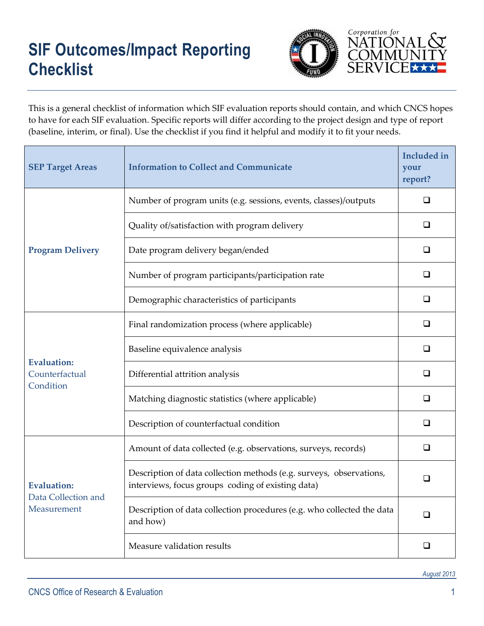## **SIF Outcomes/Impact Reporting Checklist**



This is a general checklist of information which SIF evaluation reports should contain, and which CNCS hopes to have for each SIF evaluation. Specific reports will differ according to the project design and type of report (baseline, interim, or final). Use the checklist if you find it helpful and modify it to fit your needs.

| <b>SEP Target Areas</b>                                  | <b>Information to Collect and Communicate</b>                                                                            | <b>Included</b> in<br>your<br>report? |
|----------------------------------------------------------|--------------------------------------------------------------------------------------------------------------------------|---------------------------------------|
| <b>Program Delivery</b>                                  | Number of program units (e.g. sessions, events, classes)/outputs                                                         | □                                     |
|                                                          | Quality of/satisfaction with program delivery                                                                            | ❏                                     |
|                                                          | Date program delivery began/ended                                                                                        | ❏                                     |
|                                                          | Number of program participants/participation rate                                                                        | ◻                                     |
|                                                          | Demographic characteristics of participants                                                                              | □                                     |
| <b>Evaluation:</b><br>Counterfactual<br>Condition        | Final randomization process (where applicable)                                                                           | ◻                                     |
|                                                          | Baseline equivalence analysis                                                                                            | ❏                                     |
|                                                          | Differential attrition analysis                                                                                          | □                                     |
|                                                          | Matching diagnostic statistics (where applicable)                                                                        | ❏                                     |
|                                                          | Description of counterfactual condition                                                                                  | ❏                                     |
| <b>Evaluation:</b><br>Data Collection and<br>Measurement | Amount of data collected (e.g. observations, surveys, records)                                                           | ❏                                     |
|                                                          | Description of data collection methods (e.g. surveys, observations,<br>interviews, focus groups coding of existing data) | ◻                                     |
|                                                          | Description of data collection procedures (e.g. who collected the data<br>and how)                                       | □                                     |
|                                                          | Measure validation results                                                                                               | ◻                                     |